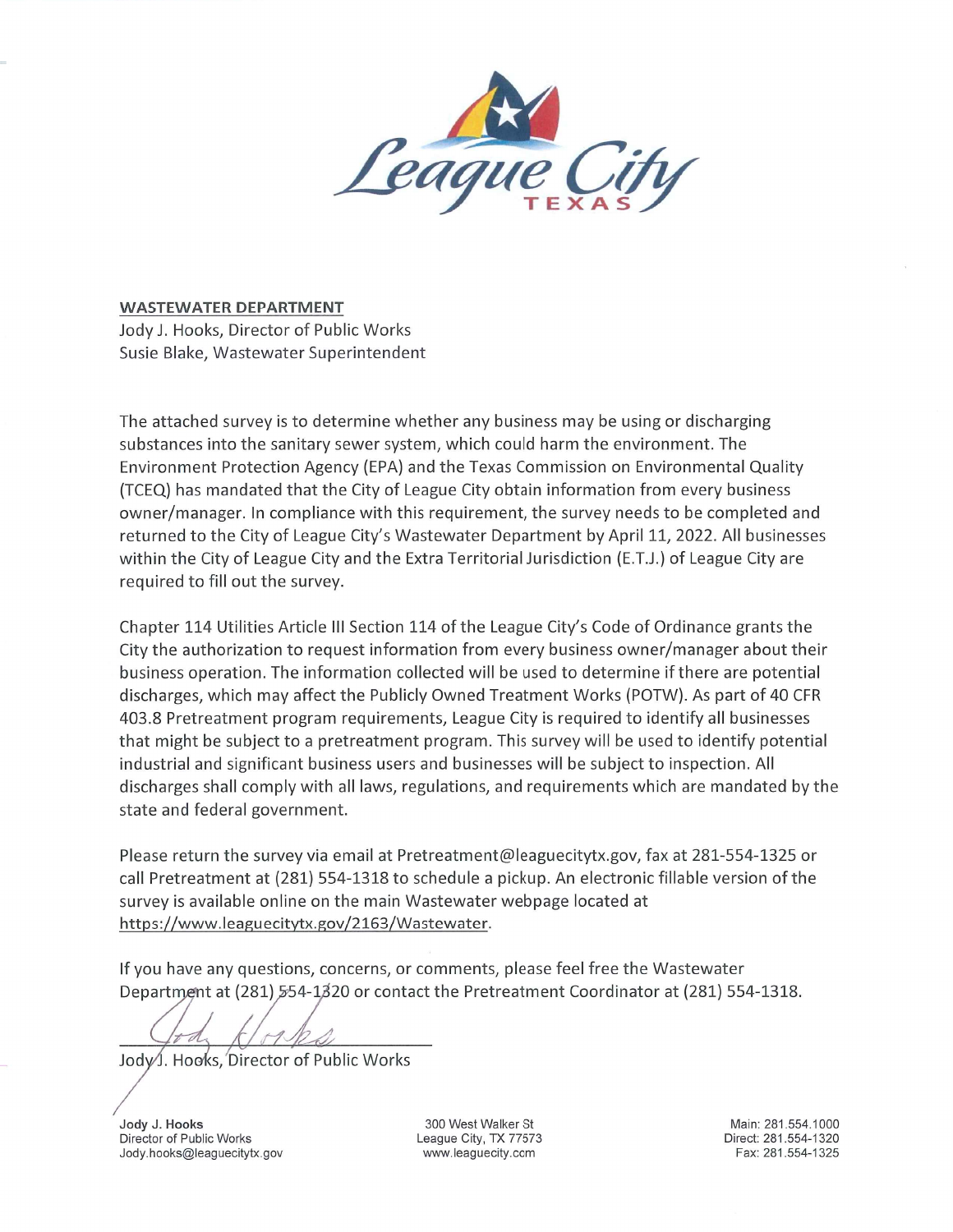

## Wastewater Department

Jody J. Hooks, Director of Public Works Susie Blake, Wastewater Superintendent

The attached survey is to determine whether any business may be using or discharging substances into the sanitary sewer system, which could harm the environment. The Environment Protection Agency (EPA) and the Texas Commission on Environmental Quality (TCEQ) has mandated that the City of League City obtain information from every business owner/manager. In compliance with this requirement, the survey needs to be completed and returned to the City of League City's Wastewater Department by April 11, 2022. All businesses within the City of League City and the Extra Territorial Jurisdiction (E.T.J.) of League City are required to fill out the survey.

Chapter 114 Utilities Article III Section 114 of the League City's Code of Ordinance grants the City the authorization to request information from every business owner/manager about their business operation. The information collected will be used to determine if there are potential discharges, which may affect the Publicly Owned Treatment Works (POTW). As part of 40 CFR 403.8 Pretreatment program requirements, League City is required to identify all businesses that might be subject to a pretreatment program. This survey will be used to identify potential industrial and significant business users and businesses will be subject to inspection. All discharges shall comply with all laws, regulations, and requirements which are mandated by the state and federal government.

Please return the survey via email at Pretreatment@leaguecitytx.gov, fax at 281-554-1325 or call Pretreatment at (281) 554-1318 to schedule a pickup. An electronic fillable version of the survey is available online on the main Wastewater webpage located at https://www.leaguecitytx.gov/2163/Wastewater.

If you have any questions, concerns, or comments, please feel free the Wastewater Department at (281) 554-1320 or contact the Pretreatment Coordinator at (281) 554-1318.

Jody<sup>J</sup>. Hooks, Director of Public Works

Jody J. Hooks Director of Public Works Jody.hooks@leaguecitytx.gov

300 West Walker St League City, TX 77573 www.leaguecity.com

Main: 281.554.1000 Direct: 281.554-1320 Fax: 281.554-1325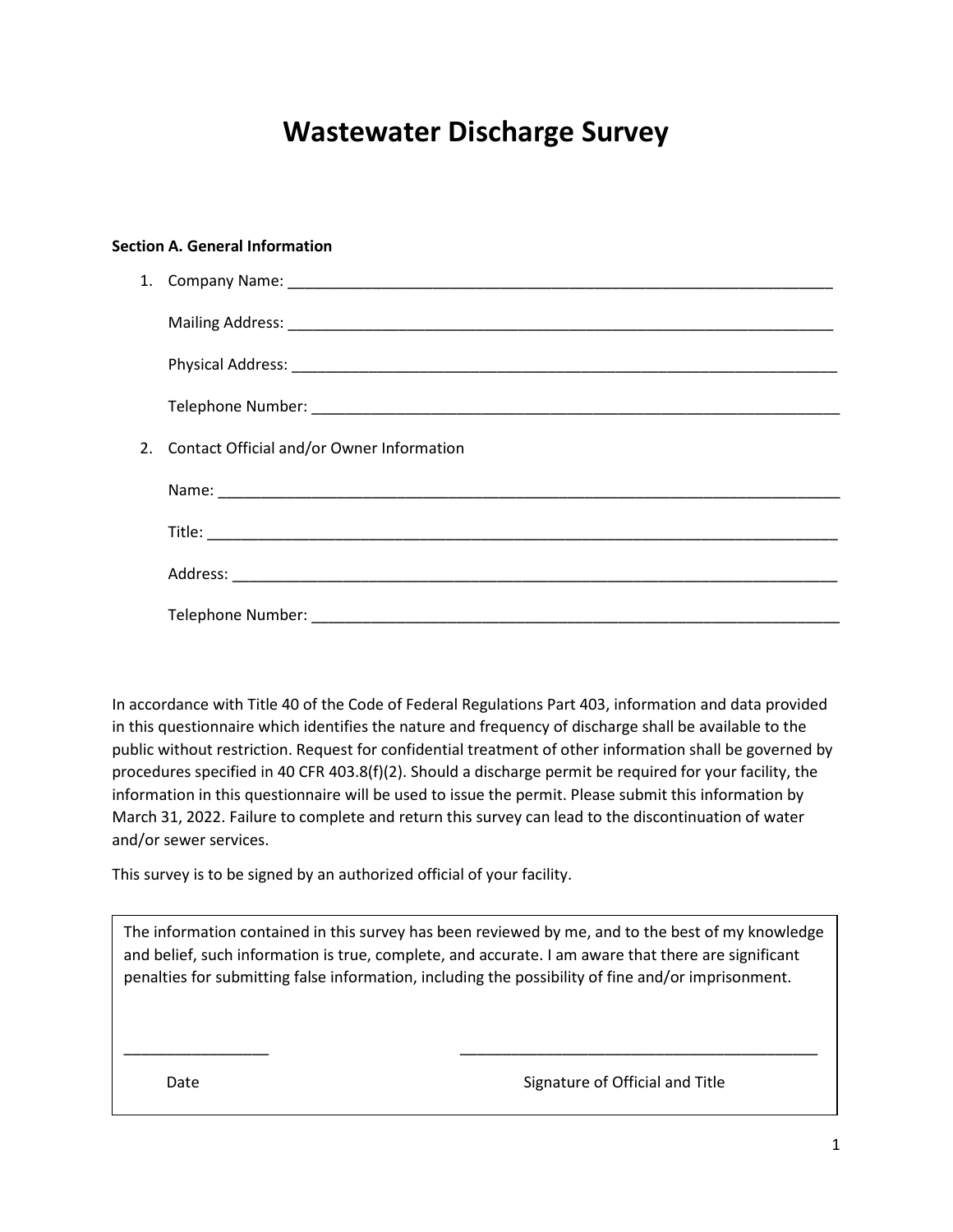# **Wastewater Discharge Survey**

### **Section A. General Information**

| 2. Contact Official and/or Owner Information |
|----------------------------------------------|
|                                              |
|                                              |
|                                              |
| Telephone Number:                            |

In accordance with Title 40 of the Code of Federal Regulations Part 403, information and data provided in this questionnaire which identifies the nature and frequency of discharge shall be available to the public without restriction. Request for confidential treatment of other information shall be governed by procedures specified in 40 CFR 403.8(f)(2). Should a discharge permit be required for your facility, the information in this questionnaire will be used to issue the permit. Please submit this information by March 31, 2022. Failure to complete and return this survey can lead to the discontinuation of water and/or sewer services.

This survey is to be signed by an authorized official of your facility.

The information contained in this survey has been reviewed by me, and to the best of my knowledge and belief, such information is true, complete, and accurate. I am aware that there are significant penalties for submitting false information, including the possibility of fine and/or imprisonment.

\_\_\_\_\_\_\_\_\_\_\_\_\_\_\_\_\_ \_\_\_\_\_\_\_\_\_\_\_\_\_\_\_\_\_\_\_\_\_\_\_\_\_\_\_\_\_\_\_\_\_\_\_\_\_\_\_\_\_\_

Date **Signature of Official and Title**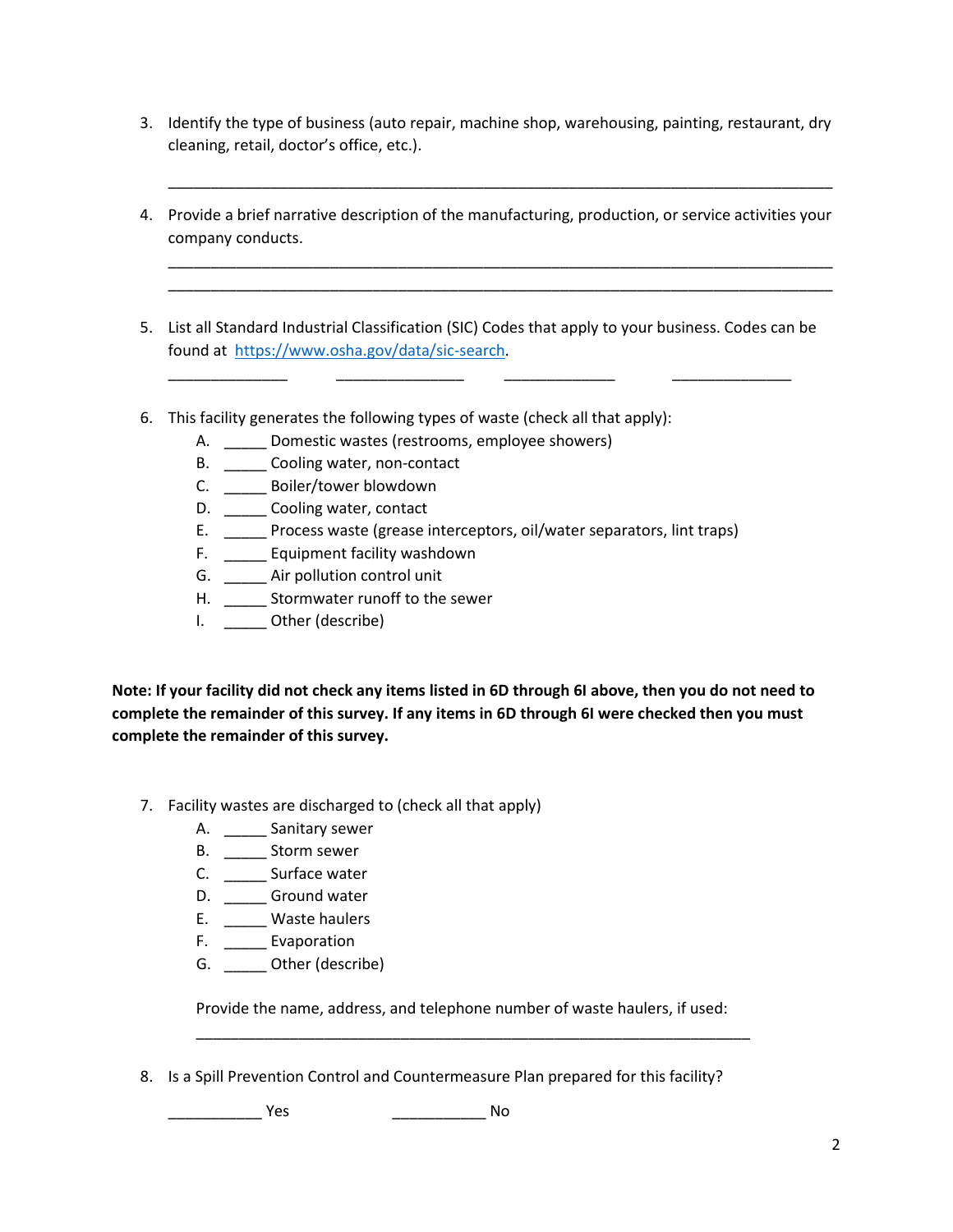- 3. Identify the type of business (auto repair, machine shop, warehousing, painting, restaurant, dry cleaning, retail, doctor's office, etc.).
- 4. Provide a brief narrative description of the manufacturing, production, or service activities your company conducts.

\_\_\_\_\_\_\_\_\_\_\_\_\_\_\_\_\_\_\_\_\_\_\_\_\_\_\_\_\_\_\_\_\_\_\_\_\_\_\_\_\_\_\_\_\_\_\_\_\_\_\_\_\_\_\_\_\_\_\_\_\_\_\_\_\_\_\_\_\_\_\_\_\_\_\_\_\_\_

\_\_\_\_\_\_\_\_\_\_\_\_\_\_\_\_\_\_\_\_\_\_\_\_\_\_\_\_\_\_\_\_\_\_\_\_\_\_\_\_\_\_\_\_\_\_\_\_\_\_\_\_\_\_\_\_\_\_\_\_\_\_\_\_\_\_\_\_\_\_\_\_\_\_\_\_\_\_ \_\_\_\_\_\_\_\_\_\_\_\_\_\_\_\_\_\_\_\_\_\_\_\_\_\_\_\_\_\_\_\_\_\_\_\_\_\_\_\_\_\_\_\_\_\_\_\_\_\_\_\_\_\_\_\_\_\_\_\_\_\_\_\_\_\_\_\_\_\_\_\_\_\_\_\_\_\_

5. List all Standard Industrial Classification (SIC) Codes that apply to your business. Codes can be found at [https://www.osha.gov/data/sic-search.](https://www.osha.gov/data/sic-search) 

\_\_\_\_\_\_\_\_\_\_\_\_\_\_ \_\_\_\_\_\_\_\_\_\_\_\_\_\_\_ \_\_\_\_\_\_\_\_\_\_\_\_\_ \_\_\_\_\_\_\_\_\_\_\_\_\_\_

- 6. This facility generates the following types of waste (check all that apply):
	- A. \_\_\_\_\_ Domestic wastes (restrooms, employee showers)
	- B. \_\_\_\_\_\_\_ Cooling water, non-contact
	- C. \_\_\_\_\_ Boiler/tower blowdown
	- D. \_\_\_\_\_\_\_ Cooling water, contact
	- E. \_\_\_\_\_ Process waste (grease interceptors, oil/water separators, lint traps)
	- F. \_\_\_\_\_\_ Equipment facility washdown
	- G. \_\_\_\_\_\_ Air pollution control unit
	- H. \_\_\_\_\_\_ Stormwater runoff to the sewer
	- I. \_\_\_\_\_ Other (describe)

**Note: If your facility did not check any items listed in 6D through 6I above, then you do not need to complete the remainder of this survey. If any items in 6D through 6I were checked then you must complete the remainder of this survey.**

- 7. Facility wastes are discharged to (check all that apply)
	- A. \_\_\_\_\_ Sanitary sewer
	- B. \_\_\_\_\_\_\_ Storm sewer
	- C. \_\_\_\_\_\_\_ Surface water
	- D. \_\_\_\_\_\_ Ground water
	- E. \_\_\_\_\_\_ Waste haulers
	- F. \_\_\_\_\_ Evaporation
	- G. \_\_\_\_\_ Other (describe)

Provide the name, address, and telephone number of waste haulers, if used:

\_\_\_\_\_\_\_\_\_\_\_\_\_\_\_\_\_\_\_\_\_\_\_\_\_\_\_\_\_\_\_\_\_\_\_\_\_\_\_\_\_\_\_\_\_\_\_\_\_\_\_\_\_\_\_\_\_\_\_\_\_\_\_\_\_

8. Is a Spill Prevention Control and Countermeasure Plan prepared for this facility?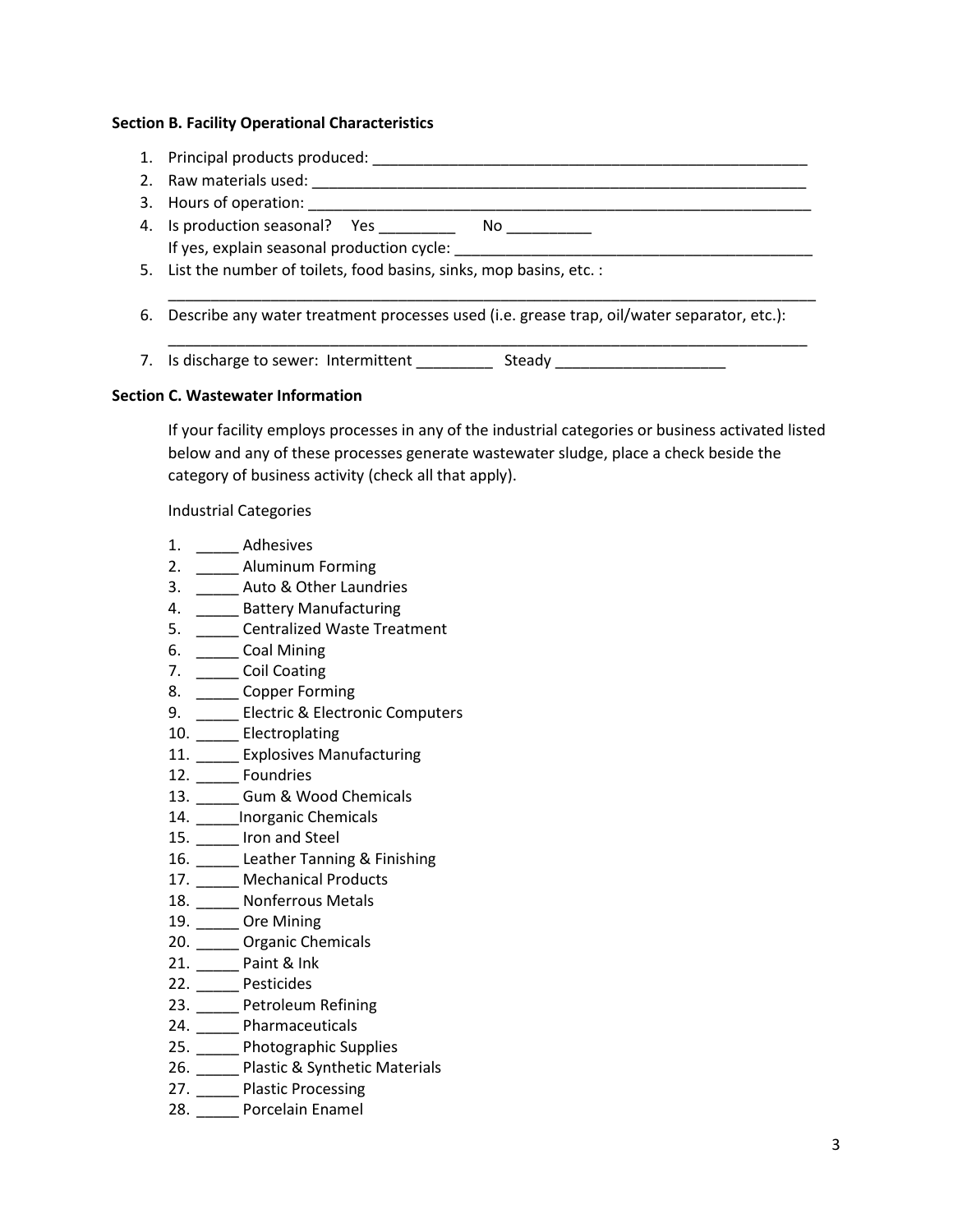#### **Section B. Facility Operational Characteristics**

- 1. Principal products produced:  $\blacksquare$
- 2. Raw materials used: \_\_\_\_\_\_\_\_\_\_\_\_\_\_\_\_\_\_\_\_\_\_\_\_\_\_\_\_\_\_\_\_\_\_\_\_\_\_\_\_\_\_\_\_\_\_\_\_\_\_\_\_\_\_\_\_\_\_ 2. Raw materials used:
	- 3. Hours of operation: \_\_\_\_\_\_\_\_\_\_\_\_\_\_\_\_\_\_\_\_\_\_\_\_\_\_\_\_\_\_\_\_\_\_\_\_\_\_\_\_\_\_\_\_\_\_\_\_\_\_\_\_\_\_\_\_\_\_\_
	- 4. Is production seasonal? Yes \_\_\_\_\_\_\_\_\_ No \_\_\_\_\_\_\_\_\_\_ If yes, explain seasonal production cycle:
	- 5. List the number of toilets, food basins, sinks, mop basins, etc. :
	- 6. Describe any water treatment processes used (i.e. grease trap, oil/water separator, etc.):

\_\_\_\_\_\_\_\_\_\_\_\_\_\_\_\_\_\_\_\_\_\_\_\_\_\_\_\_\_\_\_\_\_\_\_\_\_\_\_\_\_\_\_\_\_\_\_\_\_\_\_\_\_\_\_\_\_\_\_\_\_\_\_\_\_\_\_\_\_\_\_\_\_\_\_\_

\_\_\_\_\_\_\_\_\_\_\_\_\_\_\_\_\_\_\_\_\_\_\_\_\_\_\_\_\_\_\_\_\_\_\_\_\_\_\_\_\_\_\_\_\_\_\_\_\_\_\_\_\_\_\_\_\_\_\_\_\_\_\_\_\_\_\_\_\_\_\_\_\_\_\_

7. Is discharge to sewer: Intermittent \_\_\_\_\_\_\_\_\_\_\_ Steady \_\_\_\_\_\_\_\_\_\_\_\_\_\_\_\_\_\_\_\_\_\_

## **Section C. Wastewater Information**

If your facility employs processes in any of the industrial categories or business activated listed below and any of these processes generate wastewater sludge, place a check beside the category of business activity (check all that apply).

Industrial Categories

- 1. \_\_\_\_\_\_ Adhesives
- 2. \_\_\_\_\_ Aluminum Forming Aluminum Forming
- 3. \_\_\_\_\_ Auto & Other Laundries
- 4. \_\_\_\_\_ Battery Manufacturing
- 5. \_\_\_\_\_ Centralized Waste Treatment
- 6. \_\_\_\_\_ Coal Mining Coal Mining
- 7. \_\_\_\_\_\_\_ Coil Coating
- 8. \_\_\_\_\_\_ Copper Forming
- 9. \_\_\_\_\_ Electric & Electronic Computers Electric & Electronic Computers
- 10. \_\_\_\_\_ Electroplating
- 11. \_\_\_\_\_\_ Explosives Manufacturing
- 12. \_\_\_\_\_\_ Foundries
- 13. \_\_\_\_\_ Gum & Wood Chemicals
- 14. \_\_\_\_\_Inorganic Chemicals Inorganic Chemicals
- 15. \_\_\_\_\_ Iron and Steel
- 16. \_\_\_\_\_ Leather Tanning & Finishing
- 17. \_\_\_\_\_ Mechanical Products
- 18. \_\_\_\_\_ Nonferrous Metals
- 19. \_\_\_\_\_ Ore Mining Ore Mining
- 20. \_\_\_\_\_ Organic Chemicals
- 21. \_\_\_\_\_ Paint & Ink
- 22. \_\_\_\_\_ Pesticides
- 23. \_\_\_\_\_ Petroleum Refining
- 24. \_\_\_\_\_ Pharmaceuticals
- 25. \_\_\_\_\_ Photographic Supplies
- 26. \_\_\_\_\_ Plastic & Synthetic Materials
- 27. \_\_\_\_\_ Plastic Processing
- 28. \_\_\_\_\_ Porcelain Enamel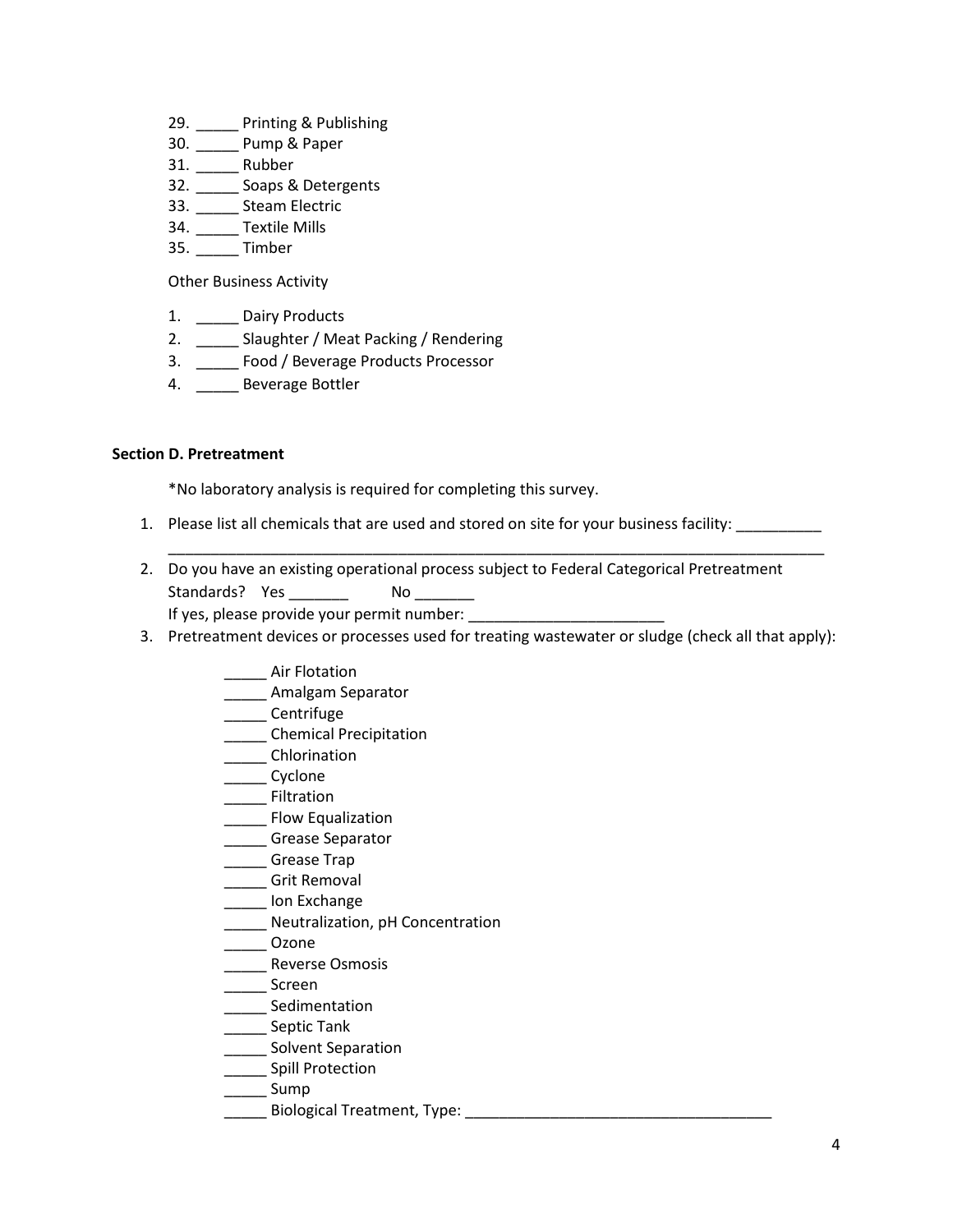- 29. \_\_\_\_\_ Printing & Publishing
- 30. \_\_\_\_\_ Pump & Paper
- 31. \_\_\_\_\_ Rubber
- 32. \_\_\_\_\_ Soaps & Detergents
- 33. \_\_\_\_\_ Steam Electric
- 34. \_\_\_\_\_ Textile Mills
- 35. \_\_\_\_\_ Timber

Other Business Activity

- 1. \_\_\_\_\_ Dairy Products
- 2. \_\_\_\_\_ Slaughter / Meat Packing / Rendering
- 3. \_\_\_\_\_ Food / Beverage Products Processor
- 4. \_\_\_\_ Beverage Bottler

## **Section D. Pretreatment**

\*No laboratory analysis is required for completing this survey.

1. Please list all chemicals that are used and stored on site for your business facility:

\_\_\_\_\_\_\_\_\_\_\_\_\_\_\_\_\_\_\_\_\_\_\_\_\_\_\_\_\_\_\_\_\_\_\_\_\_\_\_\_\_\_\_\_\_\_\_\_\_\_\_\_\_\_\_\_\_\_\_\_\_\_\_\_\_\_\_\_\_\_\_\_\_\_\_\_\_

- 2. Do you have an existing operational process subject to Federal Categorical Pretreatment Standards? Yes \_\_\_\_\_\_\_ No \_\_\_\_\_\_\_ If yes, please provide your permit number: \_\_\_\_\_\_\_\_\_\_\_\_
- 3. Pretreatment devices or processes used for treating wastewater or sludge (check all that apply):
	- \_\_\_\_\_ Air Flotation
	- **Example 21 Amalgam Separator**
	- \_\_\_\_\_ Centrifuge
	- **\_\_\_\_\_\_** Chemical Precipitation
	- \_\_\_\_\_ Chlorination
	- \_\_\_\_\_ Cyclone
	- \_\_\_\_\_ Filtration
	- **\_\_\_\_\_\_\_** Flow Equalization
	- **Example 3** Grease Separator
	- \_\_\_\_\_ Grease Trap
	- \_\_\_\_\_ Grit Removal
	- \_\_\_\_ Ion Exchange
	- \_\_\_\_\_ Neutralization, pH Concentration
	- \_\_\_\_\_ Ozone
	- \_\_\_\_\_ Reverse Osmosis
	- \_\_\_\_\_ Screen
	- \_\_\_\_\_ Sedimentation
	- \_\_\_\_\_ Septic Tank
	- **\_\_\_\_\_** Solvent Separation
	- \_\_\_\_\_\_\_ Spill Protection
	- \_\_\_\_\_ Sump
	- \_\_\_\_\_ Biological Treatment, Type: \_\_\_\_\_\_\_\_\_\_\_\_\_\_\_\_\_\_\_\_\_\_\_\_\_\_\_\_\_\_\_\_\_\_\_\_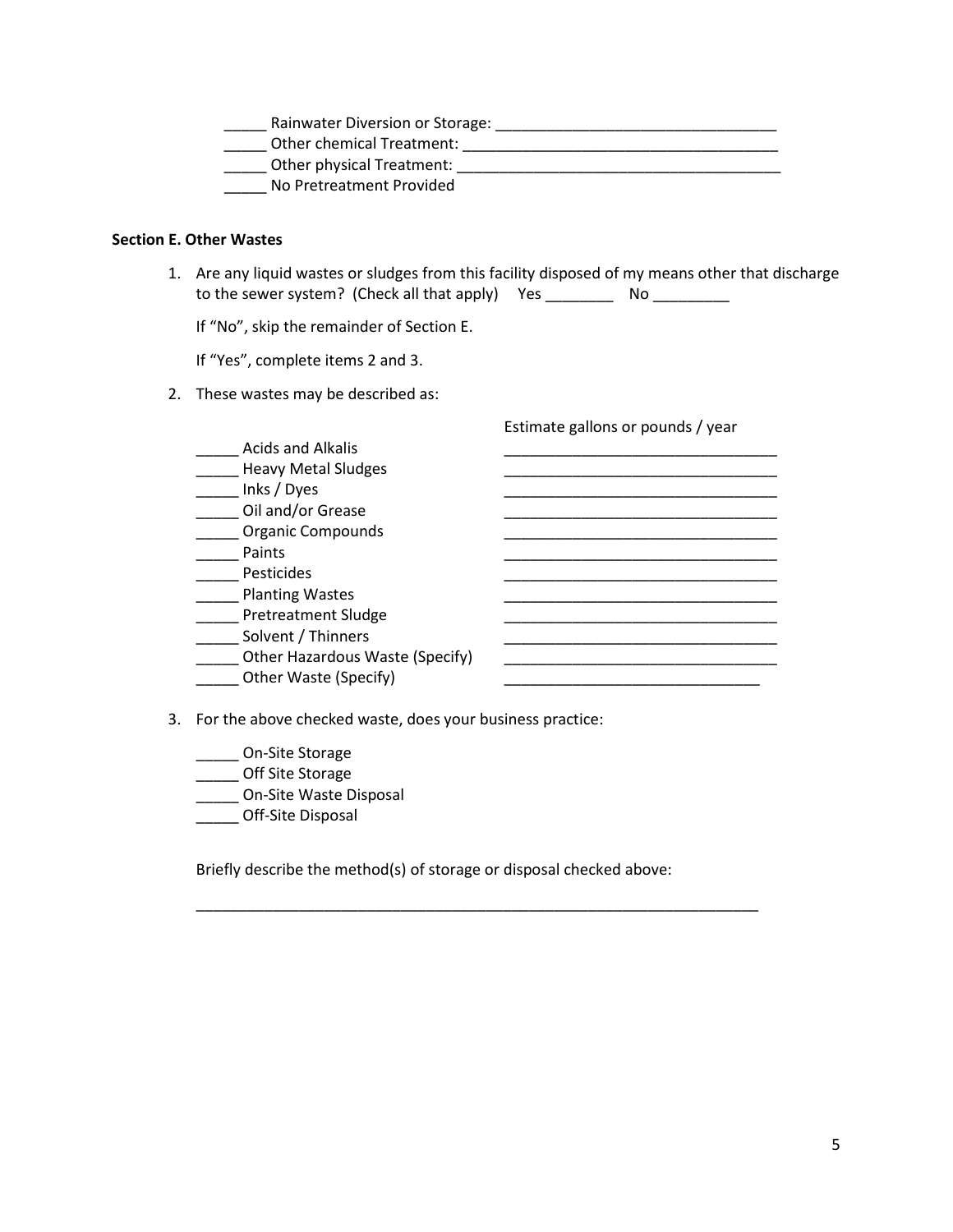| Rainwater Diversion or Storage: |  |
|---------------------------------|--|
| Other chemical Treatment:       |  |
| Other physical Treatment:       |  |
| No Pretreatment Provided        |  |

#### **Section E. Other Wastes**

1. Are any liquid wastes or sludges from this facility disposed of my means other that discharge to the sewer system? (Check all that apply) Yes \_\_\_\_\_\_\_\_\_\_\_ No \_\_\_\_\_\_\_\_\_\_

If "No", skip the remainder of Section E.

If "Yes", complete items 2 and 3.

2. These wastes may be described as:

|                                 | Estimate gallons or pounds / year |
|---------------------------------|-----------------------------------|
| Acids and Alkalis               |                                   |
| <b>Heavy Metal Sludges</b>      |                                   |
| Inks / Dyes                     |                                   |
| Oil and/or Grease               |                                   |
| <b>Organic Compounds</b>        |                                   |
| Paints                          |                                   |
| Pesticides                      |                                   |
| <b>Planting Wastes</b>          |                                   |
| <b>Pretreatment Sludge</b>      |                                   |
| Solvent / Thinners              |                                   |
| Other Hazardous Waste (Specify) |                                   |
| Other Waste (Specify)           |                                   |

3. For the above checked waste, does your business practice:

- \_\_\_\_\_ On-Site Storage
- \_\_\_\_\_\_ Off Site Storage
- \_\_\_\_\_ On-Site Waste Disposal On-Site Waste Disposal
- \_\_\_\_\_ Off-Site Disposal Off-Site Disposal

Briefly describe the method(s) of storage or disposal checked above:

\_\_\_\_\_\_\_\_\_\_\_\_\_\_\_\_\_\_\_\_\_\_\_\_\_\_\_\_\_\_\_\_\_\_\_\_\_\_\_\_\_\_\_\_\_\_\_\_\_\_\_\_\_\_\_\_\_\_\_\_\_\_\_\_\_\_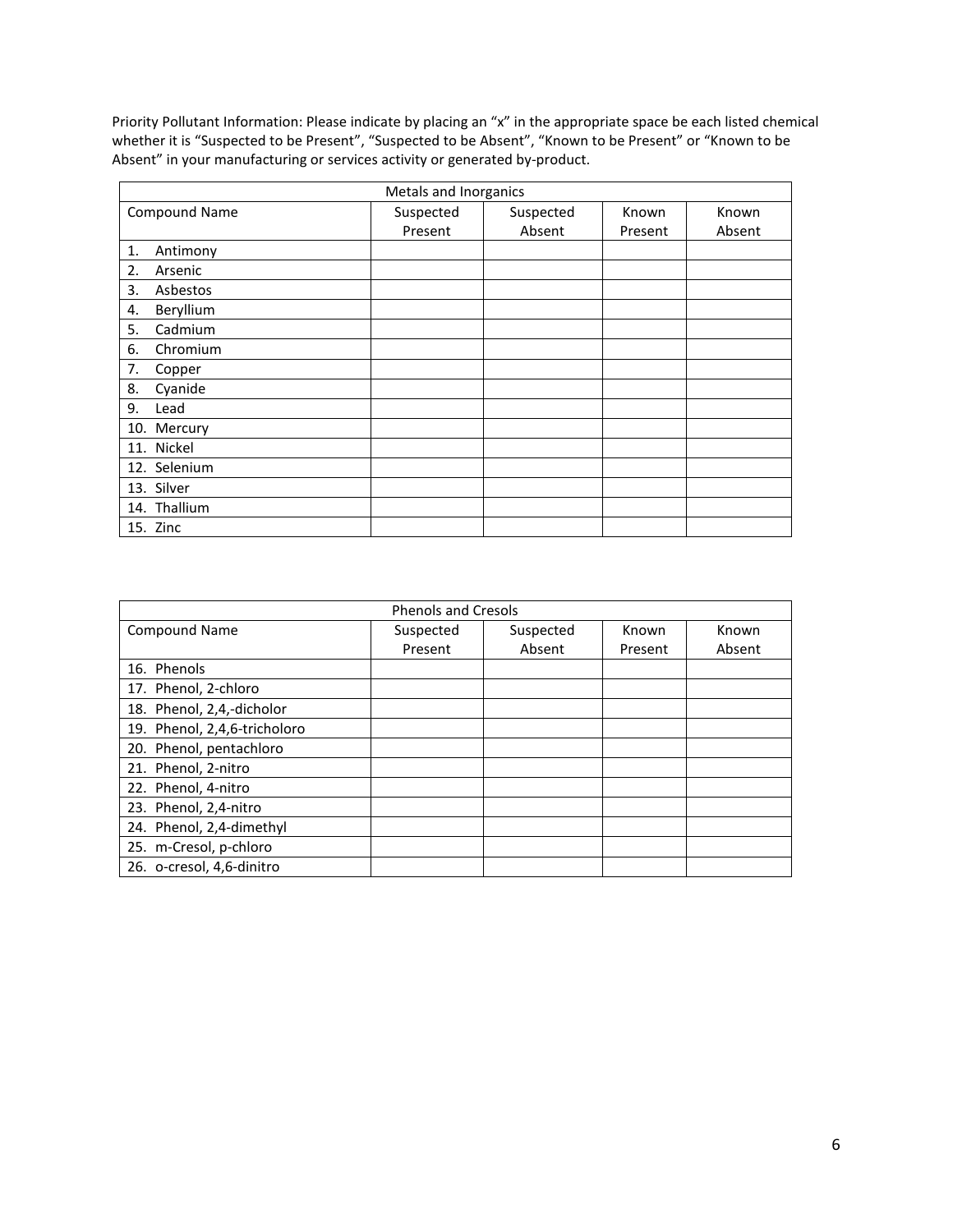Priority Pollutant Information: Please indicate by placing an "x" in the appropriate space be each listed chemical whether it is "Suspected to be Present", "Suspected to be Absent", "Known to be Present" or "Known to be Absent" in your manufacturing or services activity or generated by-product.

| Metals and Inorganics |           |           |         |        |
|-----------------------|-----------|-----------|---------|--------|
| Compound Name         | Suspected | Suspected | Known   | Known  |
|                       | Present   | Absent    | Present | Absent |
| Antimony<br>1.        |           |           |         |        |
| 2.<br>Arsenic         |           |           |         |        |
| 3.<br>Asbestos        |           |           |         |        |
| Beryllium<br>4.       |           |           |         |        |
| Cadmium<br>5.         |           |           |         |        |
| Chromium<br>6.        |           |           |         |        |
| 7.<br>Copper          |           |           |         |        |
| 8.<br>Cyanide         |           |           |         |        |
| 9.<br>Lead            |           |           |         |        |
| 10. Mercury           |           |           |         |        |
| 11. Nickel            |           |           |         |        |
| 12. Selenium          |           |           |         |        |
| 13. Silver            |           |           |         |        |
| 14. Thallium          |           |           |         |        |
| 15. Zinc              |           |           |         |        |

| <b>Phenols and Cresols</b>   |           |           |         |        |
|------------------------------|-----------|-----------|---------|--------|
| <b>Compound Name</b>         | Suspected | Suspected | Known   | Known  |
|                              | Present   | Absent    | Present | Absent |
| 16. Phenols                  |           |           |         |        |
| 17. Phenol, 2-chloro         |           |           |         |        |
| 18. Phenol, 2,4,-dicholor    |           |           |         |        |
| 19. Phenol, 2,4,6-tricholoro |           |           |         |        |
| 20. Phenol, pentachloro      |           |           |         |        |
| 21. Phenol, 2-nitro          |           |           |         |        |
| 22. Phenol, 4-nitro          |           |           |         |        |
| 23. Phenol, 2,4-nitro        |           |           |         |        |
| 24. Phenol, 2,4-dimethyl     |           |           |         |        |
| 25. m-Cresol, p-chloro       |           |           |         |        |
| 26. o-cresol, 4,6-dinitro    |           |           |         |        |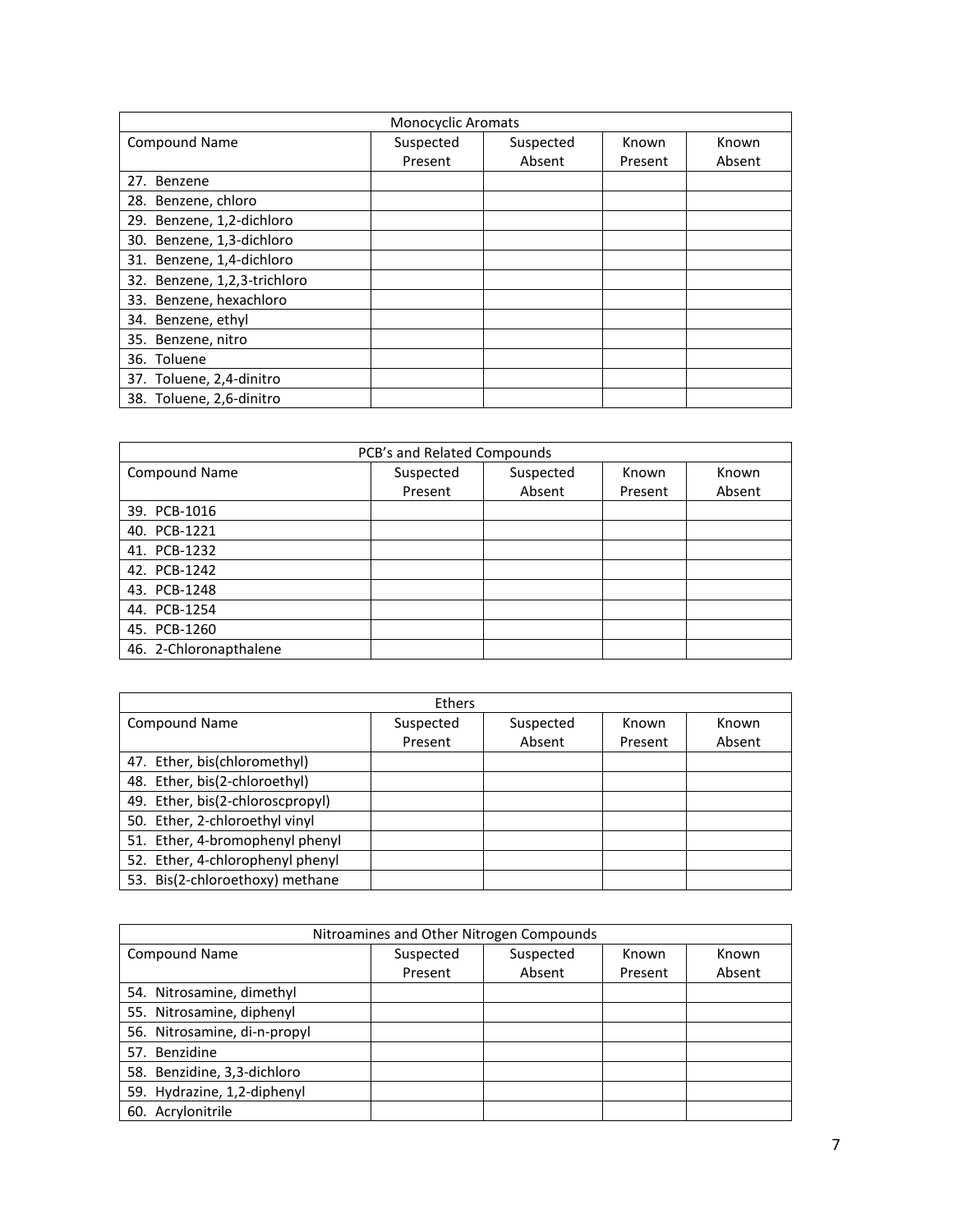| <b>Monocyclic Aromats</b>    |           |           |         |        |
|------------------------------|-----------|-----------|---------|--------|
| <b>Compound Name</b>         | Suspected | Suspected | Known   | Known  |
|                              | Present   | Absent    | Present | Absent |
| 27. Benzene                  |           |           |         |        |
| 28. Benzene, chloro          |           |           |         |        |
| 29. Benzene, 1,2-dichloro    |           |           |         |        |
| 30. Benzene, 1,3-dichloro    |           |           |         |        |
| 31. Benzene, 1,4-dichloro    |           |           |         |        |
| 32. Benzene, 1,2,3-trichloro |           |           |         |        |
| 33. Benzene, hexachloro      |           |           |         |        |
| 34. Benzene, ethyl           |           |           |         |        |
| 35. Benzene, nitro           |           |           |         |        |
| 36. Toluene                  |           |           |         |        |
| 37. Toluene, 2,4-dinitro     |           |           |         |        |
| 38. Toluene, 2,6-dinitro     |           |           |         |        |

| PCB's and Related Compounds |           |           |         |        |
|-----------------------------|-----------|-----------|---------|--------|
| <b>Compound Name</b>        | Suspected | Suspected | Known   | Known  |
|                             | Present   | Absent    | Present | Absent |
| 39. PCB-1016                |           |           |         |        |
| 40. PCB-1221                |           |           |         |        |
| 41. PCB-1232                |           |           |         |        |
| 42. PCB-1242                |           |           |         |        |
| 43. PCB-1248                |           |           |         |        |
| 44. PCB-1254                |           |           |         |        |
| 45. PCB-1260                |           |           |         |        |
| 46. 2-Chloronapthalene      |           |           |         |        |

| <b>Ethers</b>                    |           |           |         |        |  |
|----------------------------------|-----------|-----------|---------|--------|--|
| <b>Compound Name</b>             | Suspected | Suspected | Known   | Known  |  |
|                                  | Present   | Absent    | Present | Absent |  |
| 47. Ether, bis(chloromethyl)     |           |           |         |        |  |
| 48. Ether, bis(2-chloroethyl)    |           |           |         |        |  |
| 49. Ether, bis(2-chloroscpropyl) |           |           |         |        |  |
| 50. Ether, 2-chloroethyl vinyl   |           |           |         |        |  |
| 51. Ether, 4-bromophenyl phenyl  |           |           |         |        |  |
| 52. Ether, 4-chlorophenyl phenyl |           |           |         |        |  |
| 53. Bis(2-chloroethoxy) methane  |           |           |         |        |  |

| Nitroamines and Other Nitrogen Compounds |           |           |         |        |
|------------------------------------------|-----------|-----------|---------|--------|
| <b>Compound Name</b>                     | Suspected | Suspected | Known   | Known  |
|                                          | Present   | Absent    | Present | Absent |
| 54. Nitrosamine, dimethyl                |           |           |         |        |
| 55. Nitrosamine, diphenyl                |           |           |         |        |
| 56. Nitrosamine, di-n-propyl             |           |           |         |        |
| 57. Benzidine                            |           |           |         |        |
| 58. Benzidine, 3,3-dichloro              |           |           |         |        |
| 59. Hydrazine, 1,2-diphenyl              |           |           |         |        |
| 60. Acrylonitrile                        |           |           |         |        |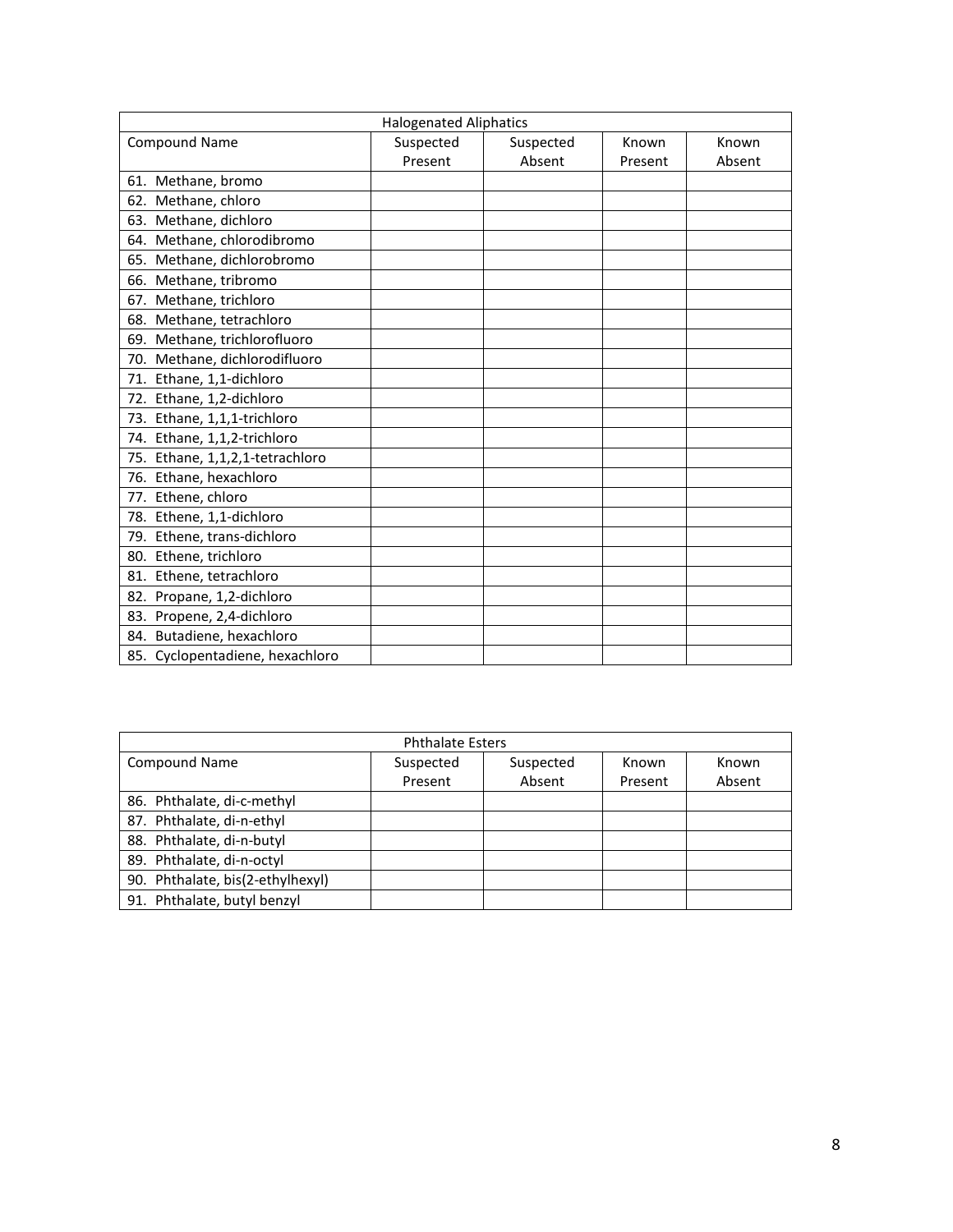| <b>Halogenated Aliphatics</b>   |           |           |         |        |
|---------------------------------|-----------|-----------|---------|--------|
| <b>Compound Name</b>            | Suspected | Suspected | Known   | Known  |
|                                 | Present   | Absent    | Present | Absent |
| 61. Methane, bromo              |           |           |         |        |
| 62. Methane, chloro             |           |           |         |        |
| 63. Methane, dichloro           |           |           |         |        |
| 64. Methane, chlorodibromo      |           |           |         |        |
| 65. Methane, dichlorobromo      |           |           |         |        |
| 66. Methane, tribromo           |           |           |         |        |
| 67. Methane, trichloro          |           |           |         |        |
| 68. Methane, tetrachloro        |           |           |         |        |
| 69. Methane, trichlorofluoro    |           |           |         |        |
| 70. Methane, dichlorodifluoro   |           |           |         |        |
| 71. Ethane, 1,1-dichloro        |           |           |         |        |
| 72. Ethane, 1,2-dichloro        |           |           |         |        |
| 73. Ethane, 1,1,1-trichloro     |           |           |         |        |
| 74. Ethane, 1,1,2-trichloro     |           |           |         |        |
| 75. Ethane, 1,1,2,1-tetrachloro |           |           |         |        |
| 76. Ethane, hexachloro          |           |           |         |        |
| 77. Ethene, chloro              |           |           |         |        |
| 78. Ethene, 1,1-dichloro        |           |           |         |        |
| 79. Ethene, trans-dichloro      |           |           |         |        |
| 80. Ethene, trichloro           |           |           |         |        |
| 81. Ethene, tetrachloro         |           |           |         |        |
| 82. Propane, 1,2-dichloro       |           |           |         |        |
| 83. Propene, 2,4-dichloro       |           |           |         |        |
| 84. Butadiene, hexachloro       |           |           |         |        |
| 85. Cyclopentadiene, hexachloro |           |           |         |        |

| <b>Phthalate Esters</b>          |           |           |         |        |  |
|----------------------------------|-----------|-----------|---------|--------|--|
| <b>Compound Name</b>             | Suspected | Suspected | Known   | Known  |  |
|                                  | Present   | Absent    | Present | Absent |  |
| 86. Phthalate, di-c-methyl       |           |           |         |        |  |
| 87. Phthalate, di-n-ethyl        |           |           |         |        |  |
| 88. Phthalate, di-n-butyl        |           |           |         |        |  |
| 89. Phthalate, di-n-octyl        |           |           |         |        |  |
| 90. Phthalate, bis(2-ethylhexyl) |           |           |         |        |  |
| 91. Phthalate, butyl benzyl      |           |           |         |        |  |